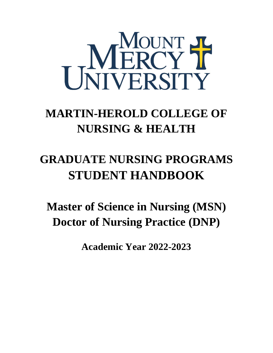

# **MARTIN-HEROLD COLLEGE OF NURSING & HEALTH**

# **GRADUATE NURSING PROGRAMS STUDENT HANDBOOK**

**Master of Science in Nursing (MSN) Doctor of Nursing Practice (DNP)**

**Academic Year 2022-2023**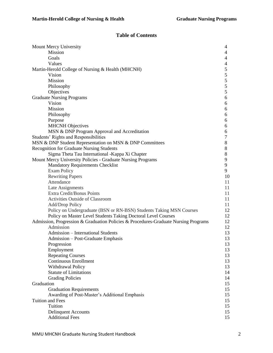# **Table of Contents**

| Mount Mercy University                                                                        | $\overline{4}$ |
|-----------------------------------------------------------------------------------------------|----------------|
| Mission                                                                                       | 4              |
| Goals                                                                                         | 4              |
| Values                                                                                        | 4              |
| Martin-Herold College of Nursing & Health (MHCNH)                                             | 5              |
| Vision                                                                                        | 5              |
| Mission                                                                                       | 5              |
| Philosophy                                                                                    | 5              |
| Objectives                                                                                    | 5              |
| <b>Graduate Nursing Programs</b>                                                              | 6              |
| Vision                                                                                        | 6              |
| Mission                                                                                       | 6              |
| Philosophy                                                                                    | 6              |
| Purpose                                                                                       | 6              |
| <b>MHCNH</b> Objectives                                                                       | 6              |
| MSN & DNP Program Approval and Accreditation                                                  | 6              |
| <b>Students' Rights and Responsibilities</b>                                                  | 7              |
| MSN & DNP Student Representation on MSN & DNP Committees                                      | $8\,$          |
| <b>Recognition for Graduate Nursing Students</b>                                              | $8\,$          |
| Sigma Theta Tau International - Kappa Xi Chapter                                              | $\,8\,$        |
| Mount Mercy University Policies - Graduate Nursing Programs                                   | 9              |
| <b>Mandatory Requirements Checklist</b>                                                       | 9              |
| <b>Exam Policy</b>                                                                            | 9              |
| <b>Rewriting Papers</b>                                                                       | 10             |
| Attendance                                                                                    | 11             |
| Late Assignments                                                                              | 11             |
| Extra Credit/Bonus Points                                                                     | 11             |
| <b>Activities Outside of Classroom</b>                                                        | 11<br>11       |
| <b>Add/Drop Policy</b><br>Policy on Undergraduate (BSN or RN-BSN) Students Taking MSN Courses | 12             |
| Policy on Master Level Students Taking Doctoral Level Courses                                 | 12             |
| Admission, Progression & Graduation Policies & Procedures-Graduate Nursing Programs           | 12             |
| Admission                                                                                     | 12             |
| Admission - International Students                                                            | 13             |
| Admission – Post-Graduate Emphasis                                                            | 13             |
| Progression                                                                                   | 13             |
| Employment                                                                                    | 13             |
| <b>Repeating Courses</b>                                                                      | 13             |
| <b>Continuous Enrollment</b>                                                                  | 13             |
| Withdrawal Policy                                                                             | 13             |
| <b>Statute of Limitations</b>                                                                 | 14             |
| <b>Grading Policies</b>                                                                       | 14             |
| Graduation                                                                                    | 15             |
| <b>Graduation Requirements</b>                                                                | 15             |
| Awarding of Post-Master's Additional Emphasis                                                 | 15             |
| <b>Tuition and Fees</b>                                                                       | 15             |
| Tuition                                                                                       | 15             |
| <b>Delinquent Accounts</b>                                                                    | 15             |
| <b>Additional Fees</b>                                                                        | 15             |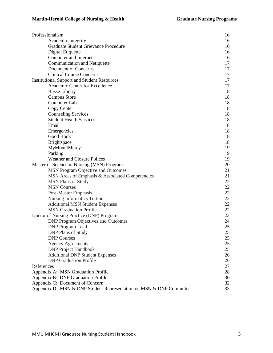| Professionalism                                                         | 16 |
|-------------------------------------------------------------------------|----|
| Academic Integrity                                                      | 16 |
| Graduate Student Grievance Procedure                                    | 16 |
| Digital Etiquette                                                       | 16 |
| Computer and Internet                                                   | 16 |
| Communication and Netiquette                                            | 17 |
| Document of Concerns                                                    | 17 |
| <b>Clinical Course Concerns</b>                                         | 17 |
| <b>Institutional Support and Student Resources</b>                      | 17 |
| Academic Center for Excellence                                          | 17 |
| <b>Busse Library</b>                                                    | 18 |
| <b>Campus Store</b>                                                     | 18 |
| <b>Computer Labs</b>                                                    | 18 |
| Copy Center                                                             | 18 |
| <b>Counseling Services</b>                                              | 18 |
| <b>Student Health Services</b>                                          | 18 |
| Email                                                                   | 18 |
| Emergencies                                                             | 18 |
| Good Book                                                               | 18 |
| <b>Brightspace</b>                                                      | 18 |
| MyMountMercy                                                            | 19 |
| Parking                                                                 | 19 |
| Weather and Closure Polices                                             | 19 |
| Master of Science in Nursing (MSN) Program                              | 20 |
| MSN Program Objective and Outcomes                                      | 21 |
| MSN Areas of Emphasis & Associated Competencies                         | 21 |
| <b>MSN Plans of Study</b>                                               | 22 |
| <b>MSN</b> Courses                                                      | 22 |
|                                                                         | 22 |
| Post-Master Emphasis                                                    | 22 |
| <b>Nursing Informatics Tuition</b>                                      | 22 |
| <b>Additional MSN Student Expenses</b><br><b>MSN</b> Graduation Profile | 22 |
|                                                                         | 23 |
| Doctor of Nursing Practice (DNP) Program                                | 24 |
| <b>DNP Program Objectives and Outcomes</b>                              |    |
| <b>DNP</b> Program Lead                                                 | 25 |
| <b>DNP Plans of Study</b>                                               | 25 |
| <b>DNP Courses</b>                                                      | 25 |
| <b>Agency Agreements</b>                                                | 25 |
| <b>DNP Project Handbook</b>                                             | 25 |
| <b>Additional DNP Student Expenses</b>                                  | 26 |
| <b>DNP</b> Graduation Profile                                           | 26 |
| References                                                              | 27 |
| Appendix A: MSN Graduation Profile                                      | 28 |
| Appendix B: DNP Graduation Profile                                      | 30 |
| Appendix C: Document of Concern                                         | 32 |
| Appendix D: MSN & DNP Student Representation on MSN & DNP Committees    | 33 |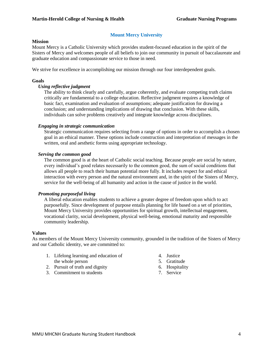#### **Mount Mercy University**

#### **Mission**

Mount Mercy is a Catholic University which provides student-focused education in the spirit of the Sisters of Mercy and welcomes people of all beliefs to join our community in pursuit of baccalaureate and graduate education and compassionate service to those in need.

We strive for excellence in accomplishing our mission through our four interdependent goals.

#### **Goals**

#### *Using reflective judgment*

The ability to think clearly and carefully, argue coherently, and evaluate competing truth claims critically are fundamental to a college education. Reflective judgment requires a knowledge of basic fact, examination and evaluation of assumptions; adequate justification for drawing a conclusion; and understanding implications of drawing that conclusion. With these skills, individuals can solve problems creatively and integrate knowledge across disciplines.

#### *Engaging in strategic communication*

Strategic communication requires selecting from a range of options in order to accomplish a chosen goal in an ethical manner. These options include construction and interpretation of messages in the written, oral and aesthetic forms using appropriate technology.

#### *Serving the common good*

The common good is at the heart of Catholic social teaching. Because people are social by nature, every individual's good relates necessarily to the common good, the sum of social conditions that allows all people to reach their human potential more fully. It includes respect for and ethical interaction with every person and the natural environment and, in the spirit of the Sisters of Mercy, service for the well-being of all humanity and action in the cause of justice in the world.

#### *Promoting purposeful living*

A liberal education enables students to achieve a greater degree of freedom upon which to act purposefully. Since development of purpose entails planning for life based on a set of priorities, Mount Mercy University provides opportunities for spiritual growth, intellectual engagement, vocational clarity, social development, physical well-being, emotional maturity and responsible community leadership.

#### **Values**

As members of the Mount Mercy University community, grounded in the tradition of the Sisters of Mercy and our Catholic identity, we are committed to:

- 1. Lifelong learning and education of the whole person
- 2. Pursuit of truth and dignity
- 3. Commitment to students
- 4. Justice
- 5. Gratitude
- 6. Hospitality
- 7. Service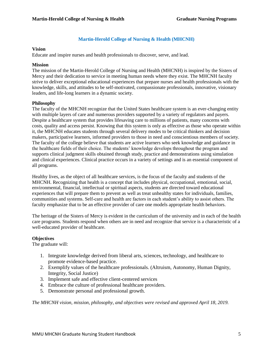#### **Martin-Herold College of Nursing & Health (MHCNH)**

#### **Vision**

Educate and inspire nurses and health professionals to discover, serve, and lead.

#### **Mission**

The mission of the Martin-Herold College of Nursing and Health (MHCNH) is inspired by the Sisters of Mercy and their dedication to service in meeting human needs where they exist. The MHCNH faculty strive to deliver exceptional educational experiences that prepare nurses and health professionals with the knowledge, skills, and attitudes to be self-motivated, compassionate professionals, innovative, visionary leaders, and life-long learners in a dynamic society.

#### **Philosophy**

The faculty of the MHCNH recognize that the United States healthcare system is an ever-changing entity with multiple layers of care and numerous providers supported by a variety of regulators and payers. Despite a healthcare system that provides lifesaving care to millions of patients, many concerns with costs, quality and access persist. Knowing that this system is only as effective as those who operate within it, the MHCNH educates students through several delivery modes to be critical thinkers and decision makers, participative learners, informed providers to those in need and conscientious members of society. The faculty of the college believe that students are active learners who seek knowledge and guidance in the healthcare fields of their choice. The students' knowledge develops throughout the program and supports clinical judgment skills obtained through study, practice and demonstrations using simulation and clinical experiences. Clinical practice occurs in a variety of settings and is an essential component of all programs.

Healthy lives, as the object of all healthcare services, is the focus of the faculty and students of the MHCNH. Recognizing that health is a concept that includes physical, occupational, emotional, social, environmental, financial, intellectual or spiritual aspects, students are directed toward educational experiences that will prepare them to prevent as well as treat unhealthy states for individuals, families, communities and systems. Self-care and health are factors in each student's ability to assist others. The faculty emphasize that to be an effective provider of care one models appropriate health behaviors.

The heritage of the Sisters of Mercy is evident in the curriculum of the university and in each of the health care programs. Students respond when others are in need and recognize that service is a characteristic of a well-educated provider of healthcare.

#### **Objectives**

The graduate will:

- 1. Integrate knowledge derived from liberal arts, sciences, technology, and healthcare to promote evidence-based practice.
- 2. Exemplify values of the healthcare professionals. (Altruism, Autonomy, Human Dignity, Integrity, Social Justice)
- 3. Implement safe and effective client-centered services
- 4. Embrace the culture of professional healthcare providers.
- 5. Demonstrate personal and professional growth.

*The MHCNH vision, mission, philosophy, and objectives were revised and approved April 18, 2019.*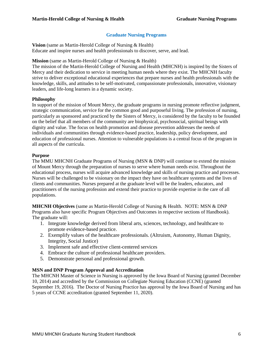#### **Graduate Nursing Programs**

**Vision** (same as Martin-Herold College of Nursing & Health) Educate and inspire nurses and health professionals to discover, serve, and lead.

#### **Mission** (same as Martin-Herold College of Nursing & Health)

The mission of the Martin-Herold College of Nursing and Health (MHCNH) is inspired by the Sisters of Mercy and their dedication to service in meeting human needs where they exist. The MHCNH faculty strive to deliver exceptional educational experiences that prepare nurses and health professionals with the knowledge, skills, and attitudes to be self-motivated, compassionate professionals, innovative, visionary leaders, and life-long learners in a dynamic society.

#### **Philosophy**

In support of the mission of Mount Mercy, the graduate programs in nursing promote reflective judgment, strategic communication, service for the common good and purposeful living. The profession of nursing, particularly as sponsored and practiced by the Sisters of Mercy, is considered by the faculty to be founded on the belief that all members of the community are biophysical, psychosocial, spiritual beings with dignity and value. The focus on health promotion and disease prevention addresses the needs of individuals and communities through evidence-based practice, leadership, policy development, and education of professional nurses. Attention to vulnerable populations is a central focus of the program in all aspects of the curricula.

#### **Purpose**

The MMU MHCNH Graduate Programs of Nursing (MSN & DNP) will continue to extend the mission of Mount Mercy through the preparation of nurses to serve where human needs exist. Throughout the educational process, nurses will acquire advanced knowledge and skills of nursing practice and processes. Nurses will be challenged to be visionary on the impact they have on healthcare systems and the lives of clients and communities. Nurses prepared at the graduate level will be the leaders, educators, and practitioners of the nursing profession and extend their practice to provide expertise in the care of all populations.

**MHCNH Objectives** (same as Martin-Herold College of Nursing & Health. NOTE: MSN & DNP Programs also have specific Program Objectives and Outcomes in respective sections of Handbook). The graduate will:

- 1. Integrate knowledge derived from liberal arts, sciences, technology, and healthcare to promote evidence-based practice.
- 2. Exemplify values of the healthcare professionals. (Altruism, Autonomy, Human Dignity, Integrity, Social Justice)
- 3. Implement safe and effective client-centered services
- 4. Embrace the culture of professional healthcare providers.
- 5. Demonstrate personal and professional growth.

#### **MSN and DNP Program Approval and Accreditation**

The MHCNH Master of Science in Nursing is approved by the Iowa Board of Nursing (granted December 10, 2014) and accredited by the Commission on Collegiate Nursing Education (CCNE) (granted September 19, 2016). The Doctor of Nursing Practice has approval by the Iowa Board of Nursing and has 5 years of CCNE accreditation (granted September 11, 2020).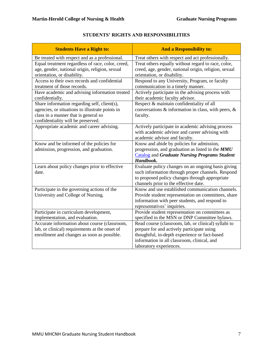| <b>Students Have a Right to:</b>                                                                | <b>And a Responsibility to:</b>                                                                        |
|-------------------------------------------------------------------------------------------------|--------------------------------------------------------------------------------------------------------|
| Be treated with respect and as a professional.                                                  | Treat others with respect and act professionally.                                                      |
| Equal treatment regardless of race, color, creed,                                               | Treat others equally without regard to race, color,                                                    |
| age, gender, national origin, religion, sexual                                                  | creed, age, gender, national origin, religion, sexual                                                  |
| orientation, or disability.                                                                     | orientation, or disability.                                                                            |
| Access to their own records and confidential                                                    | Respond to any University, Program, or faculty                                                         |
| treatment of those records.                                                                     | communication in a timely manner.                                                                      |
| Have academic and advising information treated                                                  | Actively participate in the advising process with                                                      |
| confidentially.                                                                                 | their academic faculty advisor.                                                                        |
| Share information regarding self, client(s),<br>agencies, or situations to illustrate points in | Respect & maintain confidentiality of all<br>conversations $\&$ information in class, with peers, $\&$ |
| class in a manner that is general so                                                            | faculty.                                                                                               |
| confidentiality will be preserved.                                                              |                                                                                                        |
| Appropriate academic and career advising.                                                       | Actively participate in academic advising process                                                      |
|                                                                                                 | with academic advisor and career advising with                                                         |
|                                                                                                 | academic advisor and faculty.                                                                          |
| Know and be informed of the policies for                                                        | Know and abide by policies for admission,                                                              |
| admission, progression, and graduation.                                                         | progression, and graduation as listed in the MMU                                                       |
|                                                                                                 | <b>Catalog and Graduate Nursing Programs Student</b>                                                   |
|                                                                                                 | Handbook.                                                                                              |
| Learn about policy changes prior to effective                                                   | Evaluate policy changes on an ongoing basis giving                                                     |
| date.                                                                                           | such information through proper channels. Respond<br>to proposed policy changes through appropriate    |
|                                                                                                 | channels prior to the effective date.                                                                  |
| Participate in the governing actions of the                                                     | Know and use established communication channels.                                                       |
| University and College of Nursing.                                                              | Provide student representation on committees, share                                                    |
|                                                                                                 | information with peer students, and respond to                                                         |
|                                                                                                 | representatives' inquiries.                                                                            |
| Participate in curriculum development,                                                          | Provide student representation on committees as                                                        |
| implementation, and evaluation.                                                                 | specified in the MSN or DNP Committee bylaws.                                                          |
| Accurate information about course (classroom,                                                   | Read course (classroom, lab, or clinical) syllabi to                                                   |
| lab, or clinical) requirements at the onset of                                                  | prepare for and actively participate using                                                             |
| enrollment and changes as soon as possible.                                                     | thoughtful, in-depth experience or fact-based                                                          |
|                                                                                                 | information in all classroom, clinical, and                                                            |
|                                                                                                 | laboratory experiences.                                                                                |

# **STUDENTS' RIGHTS AND RESPONSIBILITIES**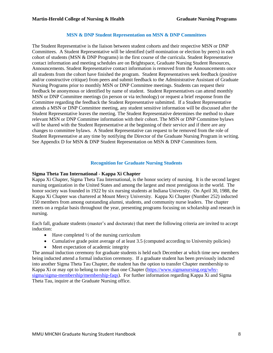#### **MSN & DNP Student Representation on MSN & DNP Committees**

The Student Representative is the liaison between student cohorts and their respective MSN or DNP Committees. A Student Representative will be identified (self-nomination or election by peers) in each cohort of students (MSN & DNP Programs) in the first course of the curricula. Student Representative contact information and meeting schedules are on Brightspace, Graduate Nursing Student Resources, Announcements. Student Representative contact information is removed from the Announcements once all students from the cohort have finished the program. Student Representatives seek feedback (positive and/or constructive critique) from peers and submit feedback to the Administrative Assistant of Graduate Nursing Programs prior to monthly MSN or DNP Committee meetings. Students can request their feedback be anonymous or identified by name of student. Student Representatives can attend monthly MSN or DNP Committee meetings (in person or via technology) or request a brief response from the Committee regarding the feedback the Student Representative submitted. If a Student Representative attends a MSN or DNP Committee meeting, any student sensitive information will be discussed after the Student Representative leaves the meeting. The Student Representative determines the method to share relevant MSN or DNP Committee information with their cohort. The MSN or DNP Committee bylaws will be shared with the Student Representative at the beginning of their service and if there are any changes to committee bylaws. A Student Representative can request to be removed from the role of Student Representative at any time by notifying the Director of the Graduate Nursing Program in writing. See Appendix D for MSN & DNP Student Representation on MSN & DNP Committees form.

#### **Recognition for Graduate Nursing Students**

#### **Sigma Theta Tau International - Kappa Xi Chapter**

Kappa Xi Chapter, Sigma Theta Tau International, is the honor society of nursing. It is the second largest nursing organization in the United States and among the largest and most prestigious in the world. The honor society was founded in 1922 by six nursing students at Indiana University. On April 30, 1988, the Kappa Xi Chapter was chartered at Mount Mercy University. Kappa Xi Chapter (Number 252) inducted 150 members from among outstanding alumni, students, and community nurse leaders. The chapter meets on a regular basis throughout the year, presenting programs focusing on scholarship and research in nursing.

Each fall, graduate students (master's and doctorate) that meet the following criteria are invited to accept induction:

- Have completed  $\frac{1}{2}$  of the nursing curriculum
- Cumulative grade point average of at least 3.5 (computed according to University policies)
- Meet expectation of academic integrity

The annual induction ceremony for graduate students is held each December at which time new members being inducted attend a formal induction ceremony. If a graduate student has been previously inducted into another Sigma Theta Tau Chapter, the student has the option to transfer Chapter membership to Kappa Xi or may opt to belong to more than one Chapter [\(https://www.sigmanursing.org/why](https://www.sigmanursing.org/why-sigma/sigma-membership/membership-faqs)[sigma/sigma-membership/membership-faqs\)](https://www.sigmanursing.org/why-sigma/sigma-membership/membership-faqs). For further information regarding Kappa Xi and Sigma Theta Tau, inquire at the Graduate Nursing office.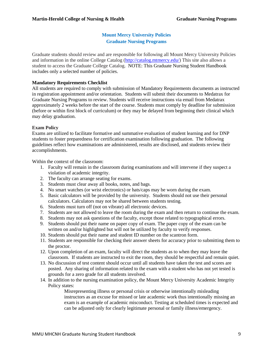#### **Mount Mercy University Policies Graduate Nursing Programs**

Graduate students should review and are responsible for following all Mount Mercy University Policies and information in the online College Catalog [\(http://catalog.mtmercy.edu/\)](http://catalog.mtmercy.edu/) This site also allows a student to access the Graduate College Catalog. NOTE: This Graduate Nursing Student Handbook includes only a selected number of policies.

#### **Mandatory Requirements Checklist**

All students are required to comply with submission of Mandatory Requirements documents as instructed in registration appointment and/or orientation. Students will submit their documents to Medatrax for Graduate Nursing Programs to review. Students will receive instructions via email from Medatrax approximately 2 weeks before the start of the course. Students must comply by deadline for submission (before or within first block of curriculum) or they may be delayed from beginning their clinical which may delay graduation.

#### **Exam Policy**

Exams are utilized to facilitate formative and summative evaluation of student learning and for DNP students to foster preparedness for certification examination following graduation. The following guidelines reflect how examinations are administered, results are disclosed, and students review their accomplishments.

Within the context of the classroom:

- 1. Faculty will remain in the classroom during examinations and will intervene if they suspect a violation of academic integrity.
- 2. The faculty can arrange seating for exams.
- 3. Students must clear away all books, notes, and bags.
- 4. No smart watches (or wrist electronics) or hats/caps may be worn during the exam.
- 5. Basic calculators will be provided by the university. Students should not use their personal calculators. Calculators may not be shared between students testing.
- 6. Students must turn off (not on vibrate) all electronic devices.
- 7. Students are not allowed to leave the room during the exam and then return to continue the exam.
- 8. Students may not ask questions of the faculty, except those related to typographical errors.
- 9. Students should put their name on paper copy of exam. The paper copy of the exam can be written on and/or highlighted but will not be utilized by faculty to verify responses.
- 10. Students should put their name and student ID number on the scantron form.
- 11. Students are responsible for checking their answer sheets for accuracy prior to submitting them to the proctor.
- 12. Upon completion of an exam, faculty will direct the students as to when they may leave the classroom. If students are instructed to exit the room, they should be respectful and remain quiet.
- 13. No discussion of test content should occur until all students have taken the test and scores are posted. Any sharing of information related to the exam with a student who has not yet tested is grounds for a zero grade for all students involved.
- 14. In addition to the nursing examination policy, the Mount Mercy University Academic Integrity Policy states:

Misrepresenting illness or personal crisis or otherwise intentionally misleading instructors as an excuse for missed or late academic work thus intentionally missing an exam is an example of academic misconduct. Testing at scheduled times is expected and can be adjusted only for clearly legitimate personal or family illness/emergency.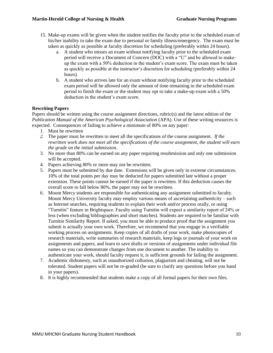- 15. Make-up exams will be given when the student notifies the faculty prior to the scheduled exam of his/her inability to take the exam due to personal or family illness/emergency. The exam must be taken as quickly as possible at faculty discretion for scheduling (preferably within 24 hours).
	- a. A student who misses an exam without notifying faculty prior to the scheduled exam period will receive a Document of Concern (DOC) with a "U" and be allowed to makeup the exam with a 50% deduction in the student's exam score. The exam must be taken as quickly as possible at the instructor's discretion for scheduling (preferably within 24 hours).
	- b. A student who arrives late for an exam without notifying faculty prior to the scheduled exam period will be allowed only the amount of time remaining in the scheduled exam period to finish the exam or the student may opt to take a make-up exam with a 50% deduction in the student's exam score.

#### **Rewriting Papers**

Papers should be written using the course assignment directions, rubric(s) and the latest edition of the *Publication Manual of the American Psychological Association* (APA). Use of these writing resources is expected. Consequences of failing to achieve a minimum of 80% on any paper:

- 1. Must be rewritten
- *2.* The paper must be rewritten to meet all the specifications of the course assignment. *If the rewritten work does not meet all the specifications of the course assignment, the student will earn the grade on the initial submission.*
- 3. No more than 80% can be earned on any paper requiring resubmission and only one submission will be accepted.
- 4. Papers achieving 80% or more may not be rewritten.
- 5. Papers must be submitted by due date. Extensions will be given only in extreme circumstances. 10% of the total points per day may be deducted for papers submitted late without a proper extension. These points cannot be earned if the paper is rewritten. If this deduction causes the overall score to fall below 80%, the paper may not be rewritten.
- 6. Mount Mercy students are responsible for authenticating any assignment submitted to faculty. Mount Mercy University faculty may employ various means of ascertaining authenticity – such as Internet searches, requiring students to explain their work and/or process orally, or using "Turnitin" feature in Brightspace. Faculty using Turnitin will expect a similarity report of 24% or less (when excluding bibliographies and short matches). Students are required to be familiar with Turnitin Similarity Report. If asked, you must be able to produce proof that the assignment you submit is actually your own work. Therefore, we recommend that you engage in a verifiable working process on assignments. Keep copies of all drafts of your work, make photocopies of research materials, write summaries of research materials, keep logs or journals of your work on assignments and papers, and learn to save drafts or versions of assignments under individual file names so you can demonstrate changes from one document to another. The inability to authenticate your work, should faculty request it, is sufficient grounds for failing the assignment.
- 7. Academic dishonesty, such as unauthorized collusion, plagiarism and cheating, will not be tolerated. Student papers will not be re-graded (be sure to clarify any questions before you hand in your papers).
- 8. It is highly recommended that students make a copy of all formal papers for their own files.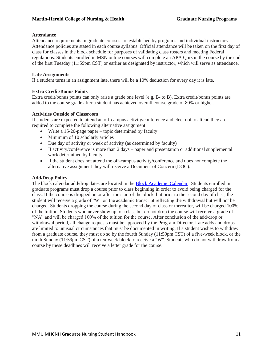#### **Attendance**

Attendance requirements in graduate courses are established by programs and individual instructors. Attendance policies are stated in each course syllabus. Official attendance will be taken on the first day of class for classes in the block schedule for purposes of validating class rosters and meeting Federal regulations. Students enrolled in MSN online courses will complete an APA Quiz in the course by the end of the first Tuesday (11:59pm CST) or earlier as designated by instructor, which will serve as attendance.

#### **Late Assignments**

If a student turns in an assignment late, there will be a 10% deduction for every day it is late.

#### **Extra Credit/Bonus Points**

Extra credit/bonus points can only raise a grade one level (e.g. B- to B). Extra credit/bonus points are added to the course grade after a student has achieved overall course grade of 80% or higher.

#### **Activities Outside of Classroom**

If students are expected to attend an off-campus activity/conference and elect not to attend they are required to complete the following alternative assignment:

- Write a 15-20-page paper topic determined by faculty
- Minimum of 10 scholarly articles
- Due day of activity or week of activity (as determined by faculty)
- If activity/conference is more than 2 days paper and presentation or additional supplemental work determined by faculty
- If the student does not attend the off-campus activity/conference and does not complete the alternative assignment they will receive a Document of Concern (DOC).

#### **Add/Drop Policy**

The block calendar add/drop dates are located in the [Block Academic Calendar.](http://catalog.mtmercy.edu/academiccalendar/#blocktext) Students enrolled in graduate programs must drop a course prior to class beginning in order to avoid being charged for the class. If the course is dropped on or after the start of the block, but prior to the second day of class, the student will receive a grade of "W" on the academic transcript reflecting the withdrawal but will not be charged. Students dropping the course during the second day of class or thereafter, will be charged 100% of the tuition. Students who never show up to a class but do not drop the course will receive a grade of "NA" and will be charged 100% of the tuition for the course. After conclusion of the add/drop or withdrawal period, all change requests must be approved by the Program Director. Late adds and drops are limited to unusual circumstances that must be documented in writing. If a student wishes to withdraw from a graduate course, they must do so by the fourth Sunday (11:59pm CST) of a five-week block, or the ninth Sunday (11:59pm CST) of a ten-week block to receive a "W". Students who do not withdraw from a course by these deadlines will receive a letter grade for the course.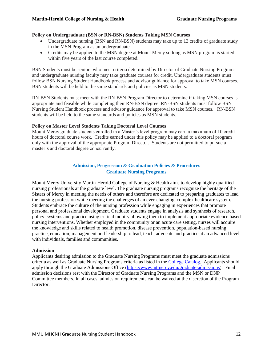#### **Policy on Undergraduate (BSN or RN-BSN) Students Taking MSN Courses**

- Undergraduate nursing (BSN and RN-BSN) students may take up to 13 credits of graduate study in the MSN Program as an undergraduate.
- Credits may be applied to the MSN degree at Mount Mercy so long as MSN program is started within five years of the last course completed.

BSN Students must be seniors who meet criteria determined by Director of Graduate Nursing Programs and undergraduate nursing faculty may take graduate courses for credit. Undergraduate students must follow BSN Nursing Student Handbook process and advisor guidance for approval to take MSN courses. BSN students will be held to the same standards and policies as MSN students.

RN-BSN Students must meet with the RN-BSN Program Director to determine if taking MSN courses is appropriate and feasible while completing their RN-BSN degree. RN-BSN students must follow BSN Nursing Student Handbook process and advisor guidance for approval to take MSN courses. RN-BSN students will be held to the same standards and policies as MSN students.

#### **Policy on Master Level Students Taking Doctoral Level Courses**

Mount Mercy graduate students enrolled in a Master's level program may earn a maximum of 10 credit hours of doctoral course work. Credits earned under this policy may be applied to a doctoral program only with the approval of the appropriate Program Director. Students are not permitted to pursue a master's and doctoral degree concurrently.

#### **Admission, Progression & Graduation Policies & Procedures Graduate Nursing Programs**

Mount Mercy University Martin-Herold College of Nursing & Health aims to develop highly qualified nursing professionals at the graduate level. The graduate nursing programs recognize the heritage of the Sisters of Mercy in meeting the needs of others and therefore are dedicated to preparing graduates to lead the nursing profession while meeting the challenges of an ever-changing, complex healthcare system. Students embrace the culture of the nursing profession while engaging in experiences that promote personal and professional development. Graduate students engage in analysis and synthesis of research, policy, systems and practice using critical inquiry allowing them to implement appropriate evidence based nursing interventions. Whether employed in the community or an acute care setting, nurses will acquire the knowledge and skills related to health promotion, disease prevention, population-based nursing practice, education, management and leadership to lead, teach, advocate and practice at an advanced level with individuals, families and communities.

#### **Admission**

Applicants desiring admission to the Graduate Nursing Programs must meet the graduate admissions criteria as well as Graduate Nursing Programs criteria as listed in the [College Catalog.](http://catalog.mtmercy.edu/) Applicants should apply through the Graduate Admissions Office [\(https://www.mtmercy.edu/graduate-admissions\)](https://www.mtmercy.edu/graduate-admissions). Final admission decisions rest with the Director of Graduate Nursing Programs and the MSN or DNP Committee members. In all cases, admission requirements can be waived at the discretion of the Program Director.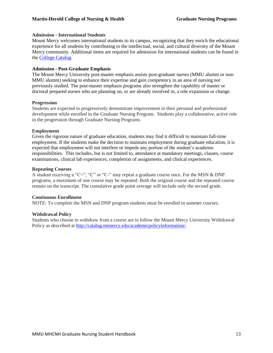#### **Admission - International Students**

Mount Mercy welcomes international students to its campus, recognizing that they enrich the educational experience for all students by contributing to the intellectual, social, and cultural diversity of the Mount Mercy community. Additional items are required for admission for international students can be found in the [College Catalog.](http://catalog.mtmercy.edu/)

#### **Admission - Post-Graduate Emphasis**

The Mount Mercy University post-master emphasis assists post-graduate nurses (MMU alumni or non-MMU alumni) seeking to enhance their expertise and gain competency in an area of nursing not previously studied. The post-master emphasis programs also strengthen the capability of master or doctoral prepared nurses who are planning on, or are already involved in, a role expansion or change.

#### **Progression**

Students are expected to progressively demonstrate improvement in their personal and professional development while enrolled in the Graduate Nursing Program. Students play a collaborative, active role in the progression through Graduate Nursing Programs.

#### **Employment**

Given the rigorous nature of graduate education, students may find it difficult to maintain full-time employment. If the students make the decision to maintain employment during graduate education, it is expected that employment will not interfere or impede any portion of the student's academic responsibilities. This includes, but is not limited to, attendance at mandatory meetings, classes, course examinations, clinical lab experiences, completion of assignments, and clinical experiences.

#### **Repeating Courses**

A student receiving a "C+", "C" or "C-" may repeat a graduate course once. For the MSN & DNP programs, a maximum of one course may be repeated. Both the original course and the repeated course remain on the transcript. The cumulative grade point average will include only the second grade.

#### **Continuous Enrollment**

NOTE: To complete the MSN and DNP program students must be enrolled in summer courses.

#### **Withdrawal Policy**

Students who choose to withdraw from a course are to follow the Mount Mercy University Withdrawal Policy as described at [http://catalog.mtmercy.edu/academicpolicyinformation/.](http://catalog.mtmercy.edu/academicpolicyinformation/)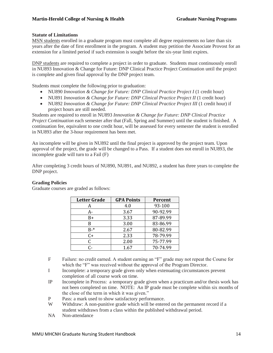#### **Statute of Limitations**

MSN students enrolled in a graduate program must complete all degree requirements no later than six years after the date of first enrollment in the program. A student may petition the Associate Provost for an extension for a limited period if such extension is sought before the six-year limit expires.

DNP students are required to complete a project in order to graduate. Students must continuously enroll in NU893 Innovation & Change for Future: DNP Clinical Practice Project Continuation until the project is complete and given final approval by the DNP project team.

Students must complete the following prior to graduation:

- NU890 *Innovation & Change for Future: DNP Clinical Practice Project I* (1 credit hour)
- NU891 *Innovation & Change for Future: DNP Clinical Practice Project II* (1 credit hour)
- NU892 *Innovation & Change for Future: DNP Clinical Practice Project III* (1 credit hour) if project hours are still needed.

Students are required to enroll in NU893 *Innovation & Change for Future: DNP Clinical Practice Project Continuation* each semester after that (Fall, Spring and Summer) until the student is finished. A continuation fee, equivalent to one credit hour, will be assessed for every semester the student is enrolled in NU893 after the 3-hour requirement has been met.

An incomplete will be given in NU892 until the final project is approved by the project team. Upon approval of the project, the grade will be changed to a Pass. If a student does not enroll in NU893, the incomplete grade will turn to a Fail (F)

After completing 3 credit hours of NU890, NU891, and NU892, a student has three years to complete the DNP project.

#### **Grading Policies**

Graduate courses are graded as follows:

| <b>Letter Grade</b> | <b>GPA Points</b> | Percent  |
|---------------------|-------------------|----------|
| А                   | 4.0               | 93-100   |
| А-                  | 3.67              | 90-92.99 |
| B+                  | 3.33              | 87-89.99 |
| B                   | 3.00              | 83-86.99 |
| $B-*$               | 2.67              | 80-82.99 |
| $C+$                | 2.33              | 78-79.99 |
|                     | 2.00              | 75-77.99 |
| ር-                  | 1.67              | 70-74.99 |

- F Failure: no credit earned. A student earning an "F" grade may not repeat the Course for which the "F" was received without the approval of the Program Director.
- I Incomplete: a temporary grade given only when extenuating circumstances prevent completion of all course work on time.
- IP Incomplete in Process: a temporary grade given when a practicum and/or thesis work has not been completed on time. NOTE: An IP grade must be complete within six months of the close of the term in which it was given."
- P Pass: a mark used to show satisfactory performance.
- W Withdraw: A non-punitive grade which will be entered on the permanent record if a student withdraws from a class within the published withdrawal period.
- NA Non-attendance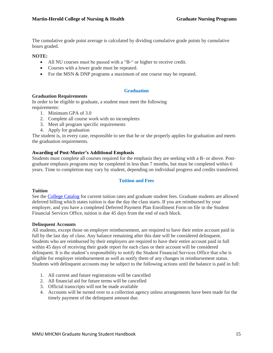The cumulative grade point average is calculated by dividing cumulative grade points by cumulative hours graded.

#### **NOTE:**

- All NU courses must be passed with a "B-" or higher to receive credit.
- Courses with a lower grade must be repeated.
- For the MSN & DNP programs a maximum of one course may be repeated.

#### **Graduation**

#### **Graduation Requirements**

In order to be eligible to graduate, a student must meet the following requirements:

- 1. Minimum GPA of 3.0
- 2. Complete all course work with no incompletes
- 3. Meet all program specific requirements
- 4. Apply for graduation

The student is, in every case, responsible to see that he or she properly applies for graduation and meets the graduation requirements.

#### **Awarding of Post-Master's Additional Emphasis**

Students must complete all courses required for the emphasis they are seeking with a B- or above. Postgraduate emphasis programs may be completed in less than 7 months, but must be completed within 6 years. Time to completion may vary by student, depending on individual progress and credits transferred.

#### **Tuition and Fees**

#### **Tuition**

See the [College Catalog](http://catalog.mtmercy.edu/) for current tuition rates and graduate student fees. Graduate students are allowed deferred billing which states tuition is due the day the class starts. If you are reimbursed by your employer, and you have a completed Deferred Payment Plan Enrollment Form on file in the Student Financial Services Office, tuition is due 45 days from the end of each block.

#### **Delinquent Accounts**

All students, except those on employer reimbursement, are required to have their entire account paid in full by the last day of class. Any balance remaining after this date will be considered delinquent. Students who are reimbursed by their employers are required to have their entire account paid in full within 45 days of receiving their grade report for each class or their account will be considered delinquent. It is the student's responsibility to notify the Student Financial Services Office that s/he is eligible for employer reimbursement as well as notify them of any changes in reimbursement status. Students with delinquent accounts may be subject to the following actions until the balance is paid in full:

- 1. All current and future registrations will be cancelled
- 2. All financial aid for future terms will be cancelled
- 3. Official transcripts will not be made available
- 4. Accounts will be turned over to a collection agency unless arrangements have been made for the timely payment of the delinquent amount due.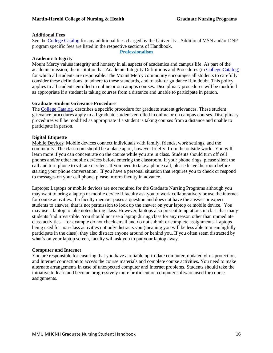#### **Additional Fees**

See the [College Catalog](http://catalog.mtmercy.edu/) for any additional fees charged by the University. Additional MSN and/or DNP program specific fees are listed in the respective sections of Handbook.

#### **Professionalism**

#### **Academic Integrity**

Mount Mercy values integrity and honesty in all aspects of academics and campus life. As part of the academic mission, the institution has Academic Integrity Definitions and Procedures (in [College Catalog\)](http://catalog.mtmercy.edu/) for which all students are responsible. The Mount Mercy community encourages all students to carefully consider these definitions, to adhere to these standards, and to ask for guidance if in doubt. This policy applies to all students enrolled in online or on campus courses. Disciplinary procedures will be modified as appropriate if a student is taking courses from a distance and unable to participate in person.

#### **Graduate Student Grievance Procedure**

The [College Catalog,](http://catalog.mtmercy.edu/) describes a specific procedure for graduate student grievances. These student grievance procedures apply to all graduate students enrolled in online or on campus courses. Disciplinary procedures will be modified as appropriate if a student is taking courses from a distance and unable to participate in person.

#### **Digital Etiquette**

Mobile Devices: Mobile devices connect individuals with family, friends, work settings, and the community. The classroom should be a place apart, however briefly, from the outside world. You will learn more if you can concentrate on the course while you are in class. Students should turn off cell phones and/or other mobile devices before entering the classroom. If your phone rings, please silent the call and turn phone to vibrate or silent. If you need to take a phone call, please leave the room before starting your phone conversation. If you have a personal situation that requires you to check or respond to messages on your cell phone, please inform faculty in advance.

Laptops: Laptops or mobile devices are not required for the Graduate Nursing Programs although you may want to bring a laptop or mobile device if faculty ask you to work collaboratively or use the internet for course activities. If a faculty member poses a question and does not have the answer or expect students to answer, that is not permission to look up the answer on your laptop or mobile device. You may use a laptop to take notes during class. However, laptops also present temptations in class that many students find irresistible. You should not use a laptop during class for any reason other than immediate class activities – for example do not check email and do not submit or complete assignments. Laptops being used for non-class activities not only distracts you (meaning you will be less able to meaningfully participate in the class), they also distract anyone around or behind you. If you often seem distracted by what's on your laptop screen, faculty will ask you to put your laptop away.

#### **Computer and Internet**

You are responsible for ensuring that you have a reliable up-to-date computer, updated virus protection, and Internet connection to access the course materials and complete course activities. You need to make alternate arrangements in case of unexpected computer and Internet problems. Students should take the initiative to learn and become progressively more proficient on computer software used for course assignments.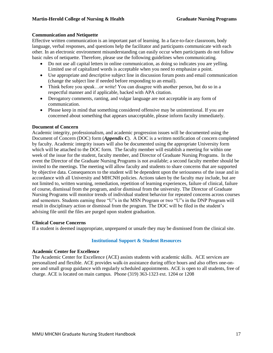#### **Communication and Netiquette**

Effective written communication is an important part of learning. In a face-to-face classroom, body language, verbal responses, and questions help the facilitator and participants communicate with each other. In an electronic environment misunderstanding can easily occur when participants do not follow basic rules of netiquette. Therefore, please use the following guidelines when communicating.

- Do not use all capital letters in online communication, as doing so indicates you are yelling. Limited use of capitalized words is acceptable when you need to emphasize a point.
- Use appropriate and descriptive subject line in discussion forum posts and email communication (change the subject line if needed before responding to an email).
- Think before you speak...or write! You can disagree with another person, but do so in a respectful manner and if applicable, backed with APA citation.
- Derogatory comments, ranting, and vulgar language are not acceptable in any form of communication.
- Please keep in mind that something considered offensive may be unintentional. If you are concerned about something that appears unacceptable, please inform faculty immediately.

#### **Document of Concern**

Academic integrity, professionalism, and academic progression issues will be documented using the Document of Concern (DOC) form (*Appendix C*). A DOC is a written notification of concern completed by faculty. Academic integrity issues will also be documented using the appropriate University form which will be attached to the DOC form. The faculty member will establish a meeting for within one week of the issue for the student, faculty member, and Director of Graduate Nursing Programs. In the event the Director of the Graduate Nursing Programs is not available; a second faculty member should be invited to the meetings. The meeting will allow faculty and students to share concerns that are supported by objective data. Consequences to the student will be dependent upon the seriousness of the issue and in accordance with all University and MHCNH policies. Actions taken by the faculty may include, but are not limited to, written warning, remediation, repetition of learning experiences, failure of clinical, failure of course, dismissal from the program, and/or dismissal from the university. The Director of Graduate Nursing Programs will monitor trends of individual student behavior for repeated concerns across courses and semesters. Students earning three "U"s in the MSN Program or two "U"s in the DNP Program will result in disciplinary action or dismissal from the program. The DOC will be filed in the student's advising file until the files are purged upon student graduation.

#### **Clinical Course Concerns**

If a student is deemed inappropriate, unprepared or unsafe they may be dismissed from the clinical site.

#### **Institutional Support & Student Resources**

#### **Academic Center for Excellence**

The Academic Center for Excellence (ACE) assists students with academic skills. ACE services are personalized and flexible. ACE provides walk-in assistance during office hours and also offers one-onone and small group guidance with regularly scheduled appointments. ACE is open to all students, free of charge. ACE is located on main campus. Phone (319) 363-1323 ext. 1204 or 1208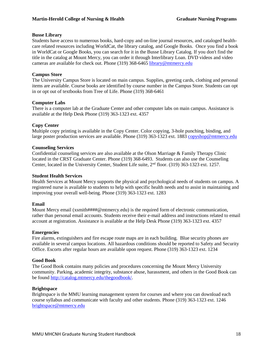#### **Busse Library**

Students have access to numerous books, hard-copy and on-line journal resources, and cataloged healthcare related resources including WorldCat, the library catalog, and Google Books. Once you find a book in WorldCat or Google Books, you can search for it in the Busse Library Catalog. If you don't find the title in the catalog at Mount Mercy, you can order it through Interlibrary Loan. DVD videos and video cameras are available for check out. Phone (319) 368-646[5 library@mtmercy.edu](mailto:library@mtmercy.edu)

#### **Campus Store**

The University Campus Store is located on main campus. Supplies, greeting cards, clothing and personal items are available. Course books are identified by course number in the Campus Store. Students can opt in or opt out of textbooks from Tree of Life. Phone (319) 368-6461

#### **Computer Labs**

There is a computer lab at the Graduate Center and other computer labs on main campus. Assistance is available at the Help Desk Phone (319) 363-1323 ext. 4357

#### **Copy Center**

Multiple copy printing is available in the Copy Center. Color copying, 3-hole punching, binding, and large poster production services are available. Phone (319) 363-1323 ext. 1883 [copyshop@mtmercy.edu](mailto:copyshop@mtmercy.edu)

#### **Counseling Services**

Confidential counseling services are also available at the Olson Marriage & Family Therapy Clinic located in the CRST Graduate Center. Phone (319) 368-6493. Students can also use the Counseling Center, located in the University Center, Student Life suite, 2<sup>nd</sup> floor. (319) 363-1323 ext. 1257.

#### **Student Health Services**

Health Services at Mount Mercy supports the physical and psychological needs of students on campus. A registered nurse is available to students to help with specific health needs and to assist in maintaining and improving your overall well-being. Phone (319) 363-1323 ext. 1283

#### **Email**

Mount Mercy email (xsmith####@mtmercy.edu) is the required form of electronic communication, rather than personal email accounts. Students receive their e-mail address and instructions related to email account at registration. Assistance is available at the Help Desk Phone (319) 363-1323 ext. 4357

#### **Emergencies**

Fire alarms, extinguishers and fire escape route maps are in each building. Blue security phones are available in several campus locations. All hazardous conditions should be reported to Safety and Security Office. Escorts after regular hours are available upon request. Phone (319) 363-1323 ext. 1234

#### **Good Book**

The Good Book contains many policies and procedures concerning the Mount Mercy University community. Parking, academic integrity, substance abuse, harassment, and others in the Good Book can be found [http://catalog.mtmercy.edu/thegoodbook/.](http://catalog.mtmercy.edu/thegoodbook/)

#### **Brightspace**

Brightspace is the MMU learning management system for courses and where you can download each course syllabus and communicate with faculty and other students. Phone (319) 363-1323 ext. 1246 [brightspace@mtmercy.edu](mailto:brightspace@mtmercy.edu)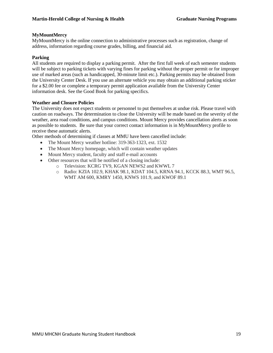#### **MyMountMercy**

MyMountMercy is the online connection to administrative processes such as registration, change of address, information regarding course grades, billing, and financial aid.

#### **Parking**

All students are required to display a parking permit. After the first full week of each semester students will be subject to parking tickets with varying fines for parking without the proper permit or for improper use of marked areas (such as handicapped, 30-minute limit etc.). Parking permits may be obtained from the University Center Desk. If you use an alternate vehicle you may obtain an additional parking sticker for a \$2.00 fee or complete a temporary permit application available from the University Center information desk. See the Good Book for parking specifics.

#### **Weather and Closure Policies**

The University does not expect students or personnel to put themselves at undue risk. Please travel with caution on roadways. The determination to close the University will be made based on the severity of the weather, area road conditions, and campus conditions. Mount Mercy provides cancellation alerts as soon as possible to students. Be sure that your correct contact information is in MyMountMercy profile to receive these automatic alerts.

Other methods of determining if classes at MMU have been cancelled include:

- The Mount Mercy weather hotline: 319-363-1323, ext. 1532
- The Mount Mercy homepage, which will contain weather updates
- Mount Mercy student, faculty and staff e-mail accounts
- Other resources that will be notified of a closing include:
	- o Television: KCRG TV9, KGAN NEWS2 and KWWL 7
		- o Radio: KZIA 102.9, KHAK 98.1, KDAT 104.5, KRNA 94.1, KCCK 88.3, WMT 96.5, WMT AM 600, KMRY 1450, KNWS 101.9, and KWOF 89.1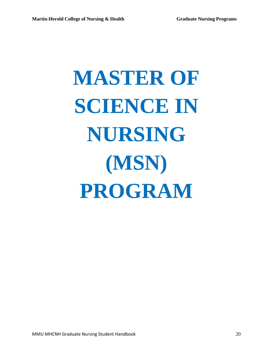# **MASTER OF SCIENCE IN NURSING (MSN) PROGRAM**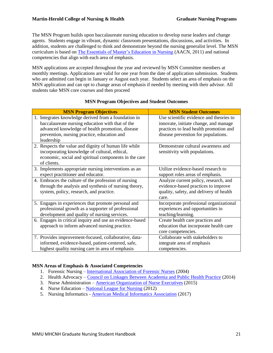The MSN Program builds upon baccalaureate nursing education to develop nurse leaders and change agents. Students engage in vibrant, dynamic classroom presentations, discussions, and activities. In addition, students are challenged to think and demonstrate beyond the nursing generalist level. The MSN curriculum is based on [The Essentials of Master's Education in Nursing](https://www.aacnnursing.org/Portals/42/Publications/MastersEssentials11.pdf) (AACN, 2011) and national competencies that align with each area of emphasis.

MSN applications are accepted throughout the year and reviewed by MSN Committee members at monthly meetings. Applications are valid for one year from the date of application submission. Students who are admitted can begin in January or August each year. Students select an area of emphasis on the MSN application and can opt to change areas of emphasis if needed by meeting with their advisor. All students take MSN core courses and then proceed

| <b>MSN Program Objectives</b>                                                                                                                                                                                            | <b>MSN Student Outcomes</b>                                                                                                                                       |
|--------------------------------------------------------------------------------------------------------------------------------------------------------------------------------------------------------------------------|-------------------------------------------------------------------------------------------------------------------------------------------------------------------|
| 1. Integrates knowledge derived from a foundation in<br>baccalaureate nursing education with that of the<br>advanced knowledge of health promotion, disease<br>prevention, nursing practice, education and<br>leadership | Use scientific evidence and theories to<br>innovate, initiate change, and manage<br>practices to lead health promotion and<br>disease prevention for populations. |
| 2. Respects the value and dignity of human life while<br>incorporating knowledge of cultural, ethical,<br>economic, social and spiritual components in the care<br>of clients.                                           | Demonstrate cultural awareness and<br>sensitivity with populations.                                                                                               |
| 3. Implements appropriate nursing interventions as an<br>expect practitioner and educator.                                                                                                                               | Utilize evidence-based research to<br>support roles areas of emphasis.                                                                                            |
| 4. Embraces the culture of the profession of nursing<br>through the analysis and synthesis of nursing theory,<br>system, policy, research, and practice.                                                                 | Analyze current policy, research, and<br>evidence-based practices to improve<br>quality, safety, and delivery of health<br>care.                                  |
| 5. Engages in experiences that promote personal and<br>professional growth as a supporter of professional<br>development and quality of nursing services.                                                                | Incorporate professional organizational<br>experiences and opportunities in<br>teaching/learning.                                                                 |
| 6. Engages in critical inquiry and use an evidence-based<br>approach to inform advanced nursing practice.                                                                                                                | Create health care practices and<br>education that incorporate health care<br>core competencies.                                                                  |
| 7. Provides improvement-focused, collaborative, data-<br>informed, evidence-based, patient-centered, safe,<br>highest quality nursing care in area of emphasis                                                           | Collaborate with stakeholders to<br>integrate area of emphasis<br>competencies.                                                                                   |

#### **MSN Program Objectives and Student Outcomes**

#### **MSN Areas of Emphasis & Associated Competencies**

- 1. Forensic Nursing [International Association of Forensic Nurses](https://cdn.ymaws.com/www.forensicnurses.org/resource/resmgr/Education/APN_Core_Curriculum_Document.pdf) (2004)
- 2. Health Advocacy [Council on Linkages Between Academia and Public Health Practice](http://www.phf.org/resourcestools/Documents/Core_Competencies_for_Public_Health_Professionals_2014June.pdf) (2014)
- 3. Nurse Administration [American Organization](https://www.aonl.org/resources/nurse-leader-competencies) of Nurse Executives (2015)
- 4. Nurse Education [National League for Nursing](http://www.nln.org/professional-development-programs/competencies-for-nursing-education/nurse-educator-core-competency) (2012)
- 5. Nursing Informatics [American Medical Informatics Association](https://www.amia.org/sites/default/files/AMIA-Health-Informatics-Core-Competencies-for-CAHIIM.PDF) (2017)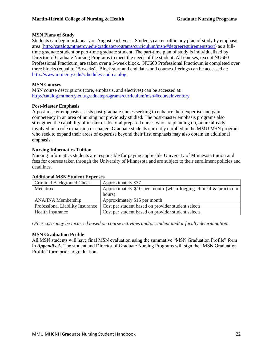#### **MSN Plans of Study**

Students can begin in January or August each year. Students can enroll in any plan of study by emphasis area [\(http://catalog.mtmercy.edu/graduateprograms/curriculum/msn/#degreerequirementstext\)](http://catalog.mtmercy.edu/graduateprograms/curriculum/msn/#degreerequirementstext) as a fulltime graduate student or part-time graduate student. The part-time plan of study is individualized by Director of Graduate Nursing Programs to meet the needs of the student. All courses, except NU660 Professional Practicum, are taken over a 5-week block. NU660 Professional Practicum is completed over three blocks (equal to 15 weeks). Block start and end dates and course offerings can be accessed at: [http://www.mtmercy.edu/schedules-and-catalog.](http://www.mtmercy.edu/schedules-and-catalog)

#### **MSN Courses**

MSN course descriptions (core, emphasis, and electives) can be accessed at: <http://catalog.mtmercy.edu/graduateprograms/curriculum/msn/#courseinventory>

#### **Post-Master Emphasis**

A post-master emphasis assists post-graduate nurses seeking to enhance their expertise and gain competency in an area of nursing not previously studied. The post-master emphasis programs also strengthen the capability of master or doctoral prepared nurses who are planning on, or are already involved in, a role expansion or change. Graduate students currently enrolled in the MMU MSN program who seek to expand their areas of expertise beyond their first emphasis may also obtain an additional emphasis.

#### **Nursing Informatics Tuition**

Nursing Informatics students are responsible for paying applicable University of Minnesota tuition and fees for courses taken through the University of Minnesota and are subject to their enrollment policies and deadlines.

#### **Additional MSN Student Expenses**

| Criminal Background Check        | Approximately \$37                                                 |
|----------------------------------|--------------------------------------------------------------------|
| Medatrax                         | Approximately \$10 per month (when logging clinical $\&$ practicum |
|                                  | hours)                                                             |
| <b>ANA/INA Membership</b>        | Approximately \$15 per month                                       |
| Professional Liability Insurance | Cost per student based on provider student selects                 |
| Health Insurance                 | Cost per student based on provider student selects                 |

*Other costs may be incurred based on course activities and/or student and/or faculty determination.* 

#### **MSN Graduation Profile**

All MSN students will have final MSN evaluation using the summative "MSN Graduation Profile" form in *Appendix A.* The student and Director of Graduate Nursing Programs will sign the "MSN Graduation Profile" form prior to graduation.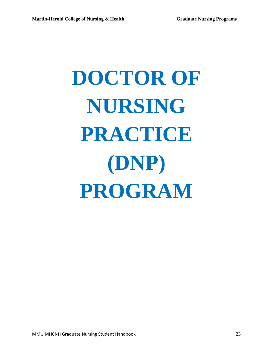# **DOCTOR OF NURSING PRACTICE (DNP) PROGRAM**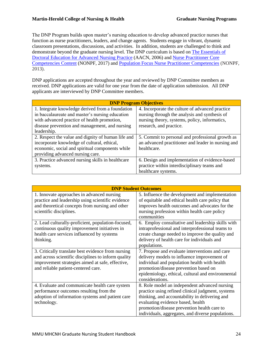The DNP Program builds upon master's nursing education to develop advanced practice nurses that function as nurse practitioners, leaders, and change agents. Students engage in vibrant, dynamic classroom presentations, discussions, and activities. In addition, students are challenged to think and demonstrate beyond the graduate nursing level. The DNP curriculum is based on [The Essentials of](https://www.aacnnursing.org/Portals/42/Publications/DNPEssentials.pdf)  [Doctoral Education for Advanced](https://www.aacnnursing.org/Portals/42/Publications/DNPEssentials.pdf) Nursing Practice (AACN, 2006) and [Nurse Practitioner Core](https://cdn.ymaws.com/www.nonpf.org/resource/resmgr/competencies/2017_NPCoreComps_with_Curric.pdf)  [Competencies Content](https://cdn.ymaws.com/www.nonpf.org/resource/resmgr/competencies/2017_NPCoreComps_with_Curric.pdf) (NONPF, 2017) and [Population Focus Nurse Practitioner Competencies](https://cdn.ymaws.com/www.nonpf.org/resource/resmgr/competencies/populationfocusnpcomps2013.pdf) (NONPF, 2013).

DNP applications are accepted throughout the year and reviewed by DNP Committee members as received. DNP applications are valid for one year from the date of application submission. All DNP applicants are interviewed by DNP Committee members.

| <b>DNP Program Objectives</b>                                                                                                                                                                                       |                                                                                                                                                                              |  |
|---------------------------------------------------------------------------------------------------------------------------------------------------------------------------------------------------------------------|------------------------------------------------------------------------------------------------------------------------------------------------------------------------------|--|
| 1. Integrate knowledge derived from a foundation<br>in baccalaureate and master's nursing education<br>with advanced practice of health promotion,<br>disease prevention and management, and nursing<br>leadership. | 4. Incorporate the culture of advanced practice<br>nursing through the analysis and synthesis of<br>nursing theory, systems, policy, informatics,<br>research, and practice. |  |
| 2. Respect the value and dignity of human life and<br>incorporate knowledge of cultural, ethical,<br>economic, social and spiritual components while<br>providing advanced nursing care.                            | 5. Commit to personal and professional growth as<br>an advanced practitioner and leader in nursing and<br>healthcare.                                                        |  |
| 3. Practice advanced nursing skills in healthcare<br>systems.                                                                                                                                                       | 6. Design and implementation of evidence-based<br>practice within interdisciplinary teams and<br>healthcare systems.                                                         |  |

|                                                                                                                                                                                                      | <b>DNP Student Outcomes</b>                                                                                                                                                                                                                                                                   |
|------------------------------------------------------------------------------------------------------------------------------------------------------------------------------------------------------|-----------------------------------------------------------------------------------------------------------------------------------------------------------------------------------------------------------------------------------------------------------------------------------------------|
| 1. Innovate approaches in advanced nursing<br>practice and leadership using scientific evidence<br>and theoretical concepts from nursing and other<br>scientific disciplines.                        | 5. Influence the development and implementation<br>of equitable and ethical health care policy that<br>improves health outcomes and advocates for the<br>nursing profession within health care policy<br>communities                                                                          |
| 2. Lead culturally-proficient, population-focused,<br>continuous quality improvement initiatives in<br>health care services influenced by systems<br>thinking.                                       | 6. Employ consultative and leadership skills with<br>intraprofessional and interprofessional teams to<br>create change needed to improve the quality and<br>delivery of health care for individuals and<br>populations.                                                                       |
| 3. Critically translate best evidence from nursing<br>and across scientific disciplines to inform quality<br>improvement strategies aimed at safe, effective,<br>and reliable patient-centered care. | 7. Propose and evaluate interventions and care<br>delivery models to influence improvement of<br>individual and population health with health<br>promotion/disease prevention based on<br>epidemiology, ethical, cultural and environmental<br>considerations.                                |
| 4. Evaluate and communicate health care system<br>performance outcomes resulting from the<br>adoption of information systems and patient care<br>technology.                                         | 8. Role model an independent advanced nursing<br>practice using refined clinical judgment, systems<br>thinking, and accountability in delivering and<br>evaluating evidence based, health<br>promotion/disease prevention health care to<br>individuals, aggregates, and diverse populations. |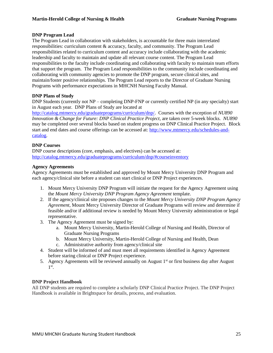#### **DNP Program Lead**

The Program Lead in collaboration with stakeholders, is accountable for three main interrelated responsibilities: curriculum content & accuracy, faculty, and community. The Program Lead responsibilities related to curriculum content and accuracy include collaborating with the academic leadership and faculty to maintain and update all relevant course content. The Program Lead responsibilities to the faculty include coordinating and collaborating with faculty to maintain team efforts that support the program. The Program Lead responsibilities to the community include coordinating and collaborating with community agencies to promote the DNP program, secure clinical sites, and maintain/foster positive relationships. The Program Lead reports to the Director of Graduate Nursing Programs with performance expectations in MHCNH Nursing Faculty Manual.

#### **DNP Plans of Study**

DNP Students (currently not NP – completing DNP-FNP or currently certified NP (in any specialty) start in August each year. DNP Plans of Study are located at

[http://catalog.mtmercy.edu/graduateprograms/curriculum/dnp/.](http://catalog.mtmercy.edu/graduateprograms/curriculum/dnp/) Courses with the exception of *NU890 Innovation & Change for Future: DNP Clinical Practice Project*, are taken over 5-week blocks. *NU890* may be completed over several blocks based on student progress on DNP Clinical Practice Project. Block start and end dates and course offerings can be accessed at: [http://www.mtmercy.edu/schedules-and](http://www.mtmercy.edu/schedules-and-catalog)[catalog.](http://www.mtmercy.edu/schedules-and-catalog)

#### **DNP Courses**

DNP course descriptions (core, emphasis, and electives) can be accessed at: <http://catalog.mtmercy.edu/graduateprograms/curriculum/dnp/#courseinventory>

#### **Agency Agreements**

Agency Agreements must be established and approved by Mount Mercy University DNP Program and each agency/clinical site before a student can start clinical or DNP Project experiences.

- 1. Mount Mercy University DNP Program will initiate the request for the Agency Agreement using the *Mount Mercy University DNP Program Agency Agreement* template.
- 2. If the agency/clinical site proposes changes to the *Mount Mercy University DNP Program Agency Agreement*, Mount Mercy University Director of Graduate Programs will review and determine if feasible and/or if additional review is needed by Mount Mercy University administration or legal representative.
- 3. The Agency Agreement must be signed by:
	- a. Mount Mercy University, Martin-Herold College of Nursing and Health, Director of Graduate Nursing Programs
	- b. Mount Mercy University, Martin-Herold College of Nursing and Health, Dean
	- c. Administrative authority from agency/clinical site
- 4. Student will be informed of and must meet all requirements identified in Agency Agreement before staring clinical or DNP Project experience.
- 5. Agency Agreements will be reviewed annually on August  $1<sup>st</sup>$  or first business day after August 1 st .

#### **DNP Project Handbook**

All DNP students are required to complete a scholarly DNP Clinical Practice Project. The DNP Project Handbook is available in Brightspace for details, process, and evaluation.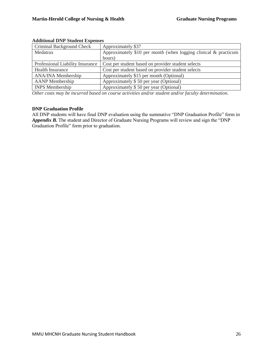| Criminal Background Check        | Approximately \$37                                                 |
|----------------------------------|--------------------------------------------------------------------|
| Medatrax                         | Approximately \$10 per month (when logging clinical $\&$ practicum |
|                                  | hours)                                                             |
| Professional Liability Insurance | Cost per student based on provider student selects                 |
| <b>Health Insurance</b>          | Cost per student based on provider student selects                 |
| <b>ANA/INA Membership</b>        | Approximately \$15 per month (Optional)                            |
| <b>AANP</b> Membership           | Approximately \$50 per year (Optional)                             |
| <b>INPS</b> Membership           | Approximately \$50 per year (Optional)                             |

#### **Additional DNP Student Expenses**

*Other costs may be incurred based on course activities and/or student and/or faculty determination.* 

#### **DNP Graduation Profile**

All DNP students will have final DNP evaluation using the summative "DNP Graduation Profile" form in *Appendix B.* The student and Director of Graduate Nursing Programs will review and sign the "DNP Graduation Profile" form prior to graduation.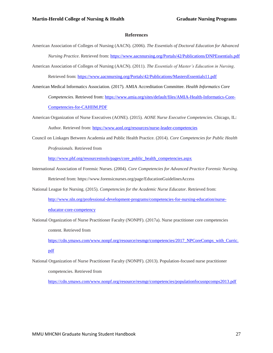#### **References**

- American Association of Colleges of Nursing (AACN). (2006). *The Essentials of Doctoral Education for Advanced Nursing Practice*. Retrieved from[: https://www.aacnnursing.org/Portals/42/Publications/DNPEssentials.pdf](https://www.aacnnursing.org/Portals/42/Publications/DNPEssentials.pdf)
- American Association of Colleges of Nursing (AACN). (2011). *The Essentials of Master's Education in Nursing*. Retrieved from:<https://www.aacnnursing.org/Portals/42/Publications/MastersEssentials11.pdf>
- American Medical Informatics Association. (2017). AMIA Accreditation Committee. *Health Informatics Core Competencies*. Retrieved from: [https://www.amia.org/sites/default/files/AMIA-Health-Informatics-Core-](https://www.amia.org/sites/default/files/AMIA-Health-Informatics-Core-Competencies-for-CAHIIM.PDF)[Competencies-for-CAHIIM.PDF](https://www.amia.org/sites/default/files/AMIA-Health-Informatics-Core-Competencies-for-CAHIIM.PDF)
- American Organization of Nurse Executives (AONE). (2015). *AONE Nurse Executive Competencies*. Chicago, IL: Author. Retrieved from:<https://www.aonl.org/resources/nurse-leader-competencies>
- Council on Linkages Between Academia and Public Health Practice. (2014). *Core Competencies for Public Health*

*Professionals.* Retrieved from

[http://www.phf.org/resourcestools/pages/core\\_public\\_health\\_competencies.aspx](http://www.phf.org/resourcestools/pages/core_public_health_competencies.aspx)

- International Association of Forensic Nurses. (2004). *Core Competencies for Advanced Practice Forensic Nursing*. Retrieved from: https://www.forensicnurses.org/page/EducationGuidelinesAccess
- National League for Nursing. (2015). *Competencies for the Academic Nurse Educator.* Retrieved from: [http://www.nln.org/professional-development-programs/competencies-for-nursing-education/nurse](http://www.nln.org/professional-development-programs/competencies-for-nursing-education/nurse-educator-core-competency)[educator-core-competency](http://www.nln.org/professional-development-programs/competencies-for-nursing-education/nurse-educator-core-competency)
- National Organization of Nurse Practitioner Faculty (NONPF). (2017a). Nurse practitioner core competencies content. Retrieved from

[https://cdn.ymaws.com/www.nonpf.org/resource/resmgr/competencies/2017\\_NPCoreComps\\_with\\_Curric.](https://cdn.ymaws.com/www.nonpf.org/resource/resmgr/competencies/2017_NPCoreComps_with_Curric.pdf)

[pdf](https://cdn.ymaws.com/www.nonpf.org/resource/resmgr/competencies/2017_NPCoreComps_with_Curric.pdf) 

National Organization of Nurse Practitioner Faculty (NONPF). (2013). Population-focused nurse practitioner competencies. Retrieved from

<https://cdn.ymaws.com/www.nonpf.org/resource/resmgr/competencies/populationfocusnpcomps2013.pdf>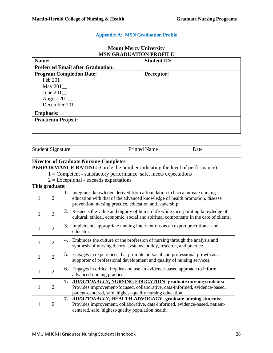#### **Appendix A: MSN Graduation Profile**

| MSN GRADUATION FROFILE                   |                    |  |
|------------------------------------------|--------------------|--|
| Name:                                    | <b>Student ID:</b> |  |
| <b>Preferred Email after Graduation:</b> |                    |  |
| <b>Program Completion Date:</b>          | <b>Preceptor:</b>  |  |
| Feb 201                                  |                    |  |
| May $201$ <sub>—</sub>                   |                    |  |
| June $201$                               |                    |  |
| August 201_                              |                    |  |
| December 201                             |                    |  |
| <b>Emphasis:</b>                         |                    |  |
| <b>Practicum Project:</b>                |                    |  |
|                                          |                    |  |
|                                          |                    |  |

#### **Mount Mercy University MSN GRADUATION PROFILE**

Student Signature Printed Name Date

# **Director of Graduate Nursing Completes**

**PERFORMANCE RATING** (Circle the number indicating the level of performance)

\_\_\_\_\_\_\_\_\_\_\_\_\_\_\_\_\_\_\_\_\_\_\_\_\_\_\_\_\_\_\_\_\_\_\_\_\_\_\_\_\_\_\_\_\_\_\_\_\_\_\_\_\_\_\_\_\_\_\_\_\_\_\_\_\_\_\_\_\_\_\_\_\_\_\_\_\_\_

1 = Competent - satisfactory performance, safe, meets expectations

 $2 = Exceptional - exceeds expectations$ 

**This graduate**:

| THIS GLAUUAIV. |                |                                                                                                                                                                                                                        |
|----------------|----------------|------------------------------------------------------------------------------------------------------------------------------------------------------------------------------------------------------------------------|
|                | 2              | Integrates knowledge derived from a foundation in baccalaureate nursing<br>1.<br>education with that of the advanced knowledge of health promotion, disease<br>prevention, nursing practice, education and leadership. |
|                | $\overline{2}$ | Respects the value and dignity of human life while incorporating knowledge of<br>2.<br>cultural, ethical, economic, social and spiritual components in the care of clients.                                            |
| 1              | $\overline{2}$ | Implements appropriate nursing interventions as an expert practitioner and<br>3.<br>educator.                                                                                                                          |
|                | $\overline{2}$ | 4. Embraces the culture of the profession of nursing through the analysis and<br>synthesis of nursing theory, systems, policy, research, and practice.                                                                 |
|                | $\overline{2}$ | Engages in experiences that promote personal and professional growth as a<br>5.<br>supporter of professional development and quality of nursing services.                                                              |
| 1              | $\overline{2}$ | Engages in critical inquiry and use an evidence-based approach to inform<br>6.<br>advanced nursing practice.                                                                                                           |
|                | $\overline{2}$ | 7. ADDITIONALLY, NURSING EDUCATION- graduate nursing students:<br>Provides improvement-focused, collaborative, data-informed, evidence-based,<br>patient-centered, safe, highest-quality nursing education.            |
|                | $\overline{2}$ | 7. ADDITIONALLY, HEALTH-ADVOCACY- graduate nursing students:<br>Provides improvement, collaborative, data-informed, evidence-based, patient-<br>centered, safe, highest-quality population health.                     |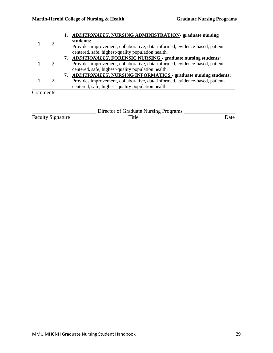| $\mathcal{D}$ | ADDITIONALLY, NURSING ADMINISTRATION- graduate nursing<br>students:<br>Provides improvement, collaborative, data-informed, evidence-based, patient-<br>centered, safe, highest-quality population health. |
|---------------|-----------------------------------------------------------------------------------------------------------------------------------------------------------------------------------------------------------|
|               | 7. ADDITIONALLY, FORENSIC NURSING - graduate nursing students:<br>Provides improvement, collaborative, data-informed, evidence-based, patient-<br>centered, safe, highest-quality population health.      |
|               | 7. ADDITIONALLY, NURSING INFORMATICS - graduate nursing students:<br>Provides improvement, collaborative, data-informed, evidence-based, patient-<br>centered, safe, highest-quality population health.   |

Comments:

|                          | Director of Graduate Nursing Programs |      |
|--------------------------|---------------------------------------|------|
| <b>Faculty Signature</b> | Title                                 | Date |
|                          |                                       |      |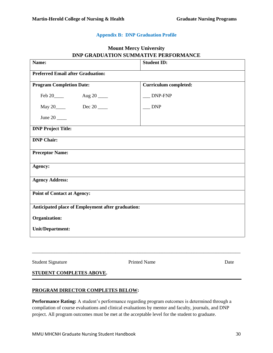#### **Appendix B: DNP Graduation Profile**

# **Mount Mercy University DNP GRADUATION SUMMATIVE PERFORMANCE**

| Name:                                             | <b>Student ID:</b>           |  |  |
|---------------------------------------------------|------------------------------|--|--|
| <b>Preferred Email after Graduation:</b>          |                              |  |  |
| <b>Program Completion Date:</b>                   | <b>Curriculum completed:</b> |  |  |
|                                                   | <b>DNP-FNP</b>               |  |  |
|                                                   | <b>DNP</b>                   |  |  |
| June 20 $\_\_$                                    |                              |  |  |
| <b>DNP Project Title:</b>                         |                              |  |  |
| <b>DNP Chair:</b>                                 |                              |  |  |
| <b>Preceptor Name:</b>                            |                              |  |  |
| Agency:                                           |                              |  |  |
| <b>Agency Address:</b>                            |                              |  |  |
| <b>Point of Contact at Agency:</b>                |                              |  |  |
| Anticipated place of Employment after graduation: |                              |  |  |
| Organization:                                     |                              |  |  |
| <b>Unit/Department:</b>                           |                              |  |  |
|                                                   |                              |  |  |
|                                                   |                              |  |  |

Student Signature Date Printed Name Date

**STUDENT COMPLETES ABOVE.**

### **PROGRAM DIRECTOR COMPLETES BELOW:**

**Performance Rating:** A student's performance regarding program outcomes is determined through a compilation of course evaluations and clinical evaluations by mentor and faculty, journals, and DNP project. All program outcomes must be met at the acceptable level for the student to graduate.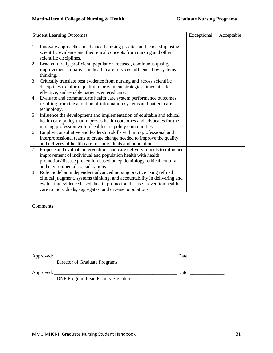| <b>Student Learning Outcomes</b> |                                                                                                                                                                                                                                                                                         | Exceptional | Acceptable |
|----------------------------------|-----------------------------------------------------------------------------------------------------------------------------------------------------------------------------------------------------------------------------------------------------------------------------------------|-------------|------------|
| 1.                               | Innovate approaches in advanced nursing practice and leadership using<br>scientific evidence and theoretical concepts from nursing and other                                                                                                                                            |             |            |
| 2.                               | scientific disciplines.<br>Lead culturally-proficient, population-focused, continuous quality<br>improvement initiatives in health care services influenced by systems<br>thinking.                                                                                                     |             |            |
| 3.                               | Critically translate best evidence from nursing and across scientific<br>disciplines to inform quality improvement strategies aimed at safe,<br>effective, and reliable patient-centered care.                                                                                          |             |            |
| 4.                               | Evaluate and communicate health care system performance outcomes<br>resulting from the adoption of information systems and patient care<br>technology.                                                                                                                                  |             |            |
| 5.                               | Influence the development and implementation of equitable and ethical<br>health care policy that improves health outcomes and advocates for the<br>nursing profession within health care policy communities.                                                                            |             |            |
| 6.                               | Employ consultative and leadership skills with intraprofessional and<br>interprofessional teams to create change needed to improve the quality<br>and delivery of health care for individuals and populations.                                                                          |             |            |
| 7.                               | Propose and evaluate interventions and care delivery models to influence<br>improvement of individual and population health with health<br>promotion/disease prevention based on epidemiology, ethical, cultural<br>and environmental considerations.                                   |             |            |
|                                  | 8. Role model an independent advanced nursing practice using refined<br>clinical judgment, systems thinking, and accountability in delivering and<br>evaluating evidence based, health promotion/disease prevention health<br>care to individuals, aggregates, and diverse populations. |             |            |

Comments:

| Approved:<br>Director of Graduate Programs |                   | Date: |  |
|--------------------------------------------|-------------------|-------|--|
| Approved:                                  | $     -$<br>----- | Date: |  |

**\_\_\_\_\_\_\_\_\_\_\_\_\_\_\_\_\_\_\_\_\_\_\_\_\_\_\_\_\_\_\_\_\_\_\_\_\_\_\_\_\_\_\_\_\_\_\_\_\_\_\_\_\_\_\_\_\_\_\_\_\_\_\_\_\_\_\_\_\_\_\_\_\_\_\_\_\_\_**

DNP Program Lead Faculty Signature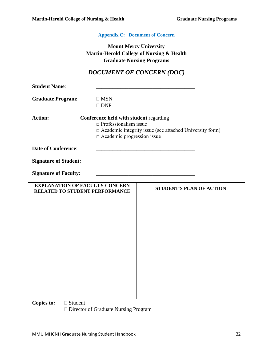#### **Appendix C: Document of Concern**

## **Mount Mercy University Martin-Herold College of Nursing & Health Graduate Nursing Programs**

# *DOCUMENT OF CONCERN (DOC)*

| <b>Student Name:</b>         |                                                                                                                                                                                      |
|------------------------------|--------------------------------------------------------------------------------------------------------------------------------------------------------------------------------------|
| <b>Graduate Program:</b>     | <b>MSN</b><br><b>DNP</b><br>$\Box$                                                                                                                                                   |
| <b>Action:</b>               | <b>Conference held with student regarding</b><br>$\Box$ Professionalism issue<br>$\Box$ Academic integrity issue (see attached University form)<br>$\Box$ Academic progression issue |
| <b>Date of Conference:</b>   |                                                                                                                                                                                      |
| <b>Signature of Student:</b> |                                                                                                                                                                                      |

Signature of Faculty:

| <b>EXPLANATION OF FACULTY CONCERN</b><br>RELATED TO STUDENT PERFORMANCE | STUDENT'S PLAN OF ACTION |
|-------------------------------------------------------------------------|--------------------------|
|                                                                         |                          |
|                                                                         |                          |
|                                                                         |                          |
|                                                                         |                          |
|                                                                         |                          |
|                                                                         |                          |
|                                                                         |                          |
|                                                                         |                          |
|                                                                         |                          |

**Copies to:**  Student

Director of Graduate Nursing Program